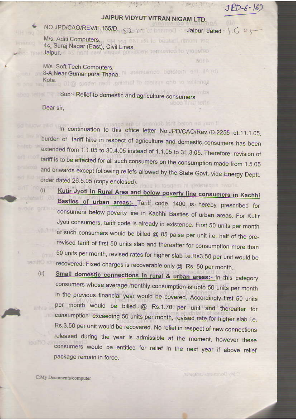## JAIPUR VIDYUT VITRAN NIGAM LTD.

C. SINCAPUTE PLA

**NUTA** 

sboo This ishs

## NO.JPD/CAO/REV/F.165/D. 325

and the same of the same of

M/s. Aditi Computers, all you that all to be stand income too 44, Suraj Nagar (East), Civil Lines, and participated to ynone had

M/s. Soft Tech Computers, B-A, Near Gumanpura Thana, Manamuznon beneferti erli IIA (d) Kota. sprinkling or drip system of farming. then rebate @ 10 pi

 $1 - 6$ 

Sub:- Relief to domestic and agriculture consumers.

Dear sir.

 $(i)$ 

soleterl

ahns fins

If may be noted that demand to the consume In continuation to this office letter No.JPD/CAO/Rev./D.2255 dt.11.1.05, burden of tariff hike in respect of agriculture and domestic consumers has been extended from 1.1.05 to 30.4.05 instead of 1.1.05 to 31.3.05. Therefore, revision of tariff is to be effected for all such consumers on the consumption made from 1.5.05 and onwards except following reliefs allowed by the State Govt, vide Energy Deptt. order dated 26.5.05 (copy enclosed). a hown separately in respect of a

Kutir Jyoti in Rural Area and below poverty line consumers in Kachhi Basties of urban areas:- Tariff code 1400 is hereby prescribed for consumers below poverty line in Kachhi Basties of urban areas. For Kutir Jyoti consumers, tariff code is already in existence. First 50 units per month **Villandi** of such consumers would be billed @ 85 paise per unit i.e. half of the prerevised tariff of first 50 units slab and thereafter for consumption more than 50 units per month, revised rates for higher slab i.e.Rs3.50 per unit would be recovered. Fixed charges is recoverable only @ Rs. 50 per month. **Barritt** Bahr

Small domestic connections in rural & urban areas:- In this category  $(ii)$ consumers whose average monthly consumption is upto 50 units per month in the previous financial year would be covered. Accordingly first 50 units per month would be billed @ Rs.1.70 per unit and thereafter for attva a consumption exceeding 50 units per month, revised rate for higher slab i.e. Rs.3.50 per unit would be recovered. No relief in respect of new connections released during the year is admissible at the moment, however these softo<sub>2</sub> consumers would be entitled for relief in the next year if above relief package remain in force.

C:My Documents/computer

Tahun Boain ents community